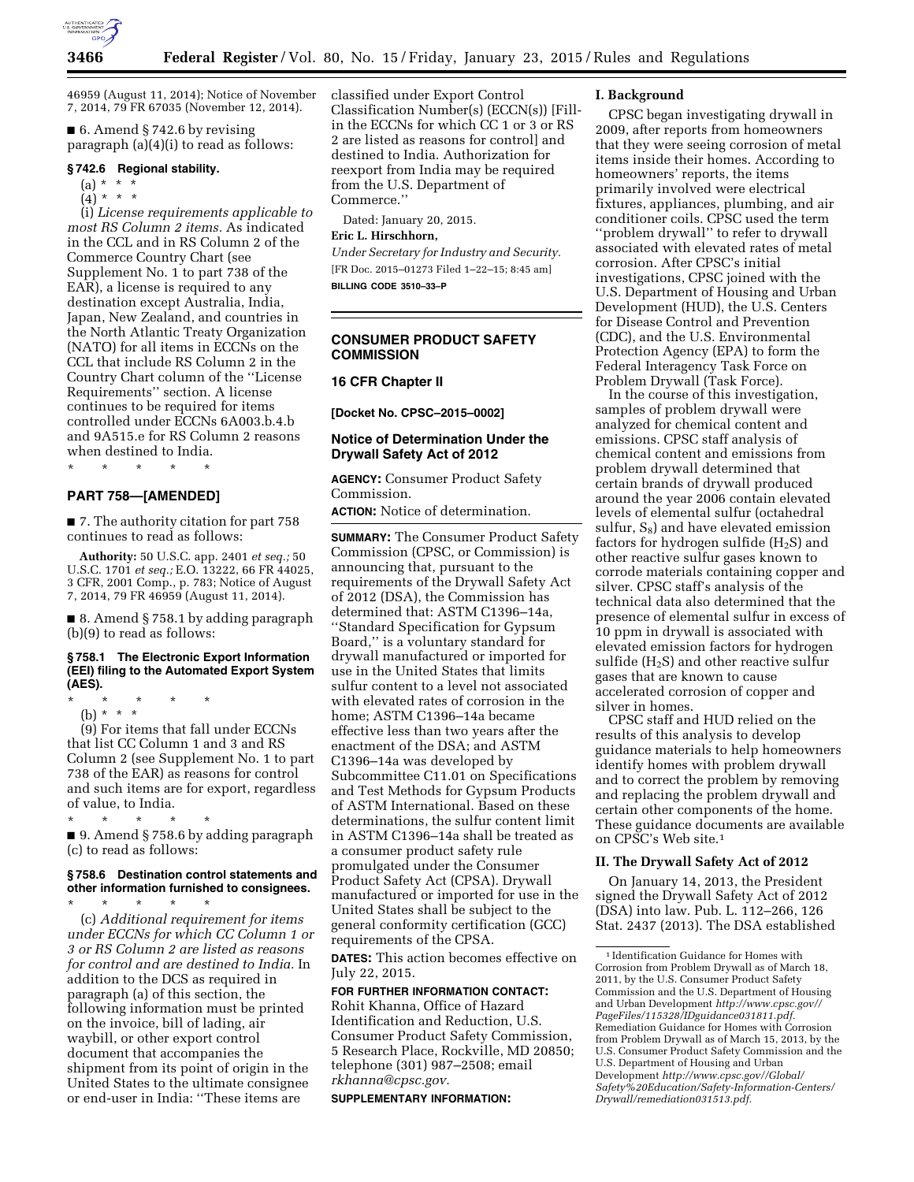

46959 (August 11, 2014); Notice of November 7, 2014, 79 FR 67035 (November 12, 2014).

 $\blacksquare$  6. Amend § 742.6 by revising paragraph (a)(4)(i) to read as follows:

#### **§ 742.6 Regional stability.**

$$
(a) * * * *
$$

(4) \* \* \*

(i) *License requirements applicable to most RS Column 2 items.* As indicated in the CCL and in RS Column 2 of the Commerce Country Chart (see Supplement No. 1 to part 738 of the EAR), a license is required to any destination except Australia, India, Japan, New Zealand, and countries in the North Atlantic Treaty Organization (NATO) for all items in ECCNs on the CCL that include RS Column 2 in the Country Chart column of the ''License Requirements'' section. A license continues to be required for items controlled under ECCNs 6A003.b.4.b and 9A515.e for RS Column 2 reasons when destined to India.

\* \* \* \* \*

### **PART 758—[AMENDED]**

■ 7. The authority citation for part 758 continues to read as follows:

**Authority:** 50 U.S.C. app. 2401 *et seq.;* 50 U.S.C. 1701 *et seq.;* E.O. 13222, 66 FR 44025, 3 CFR, 2001 Comp., p. 783; Notice of August 7, 2014, 79 FR 46959 (August 11, 2014).

■ 8. Amend § 758.1 by adding paragraph (b)(9) to read as follows:

## **§ 758.1 The Electronic Export Information (EEI) filing to the Automated Export System (AES).**

\* \* \* \* \*

(b) \* \* \*

(9) For items that fall under ECCNs that list CC Column 1 and 3 and RS Column 2 (see Supplement No. 1 to part 738 of the EAR) as reasons for control and such items are for export, regardless of value, to India.

\* \* \* \* \* ■ 9. Amend § 758.6 by adding paragraph (c) to read as follows:

## **§ 758.6 Destination control statements and other information furnished to consignees.**

\* \* \* \* \* (c) *Additional requirement for items under ECCNs for which CC Column 1 or 3 or RS Column 2 are listed as reasons for control and are destined to India.* In addition to the DCS as required in paragraph (a) of this section, the following information must be printed on the invoice, bill of lading, air waybill, or other export control document that accompanies the shipment from its point of origin in the United States to the ultimate consignee or end-user in India: ''These items are

classified under Export Control Classification Number(s) (ECCN(s)) [Fillin the ECCNs for which CC 1 or 3 or RS 2 are listed as reasons for control] and destined to India. Authorization for reexport from India may be required from the U.S. Department of Commerce.''

Dated: January 20, 2015.

## **Eric L. Hirschhorn,**

*Under Secretary for Industry and Security.*  [FR Doc. 2015–01273 Filed 1–22–15; 8:45 am] **BILLING CODE 3510–33–P** 

# **CONSUMER PRODUCT SAFETY COMMISSION**

## **16 CFR Chapter II**

**[Docket No. CPSC–2015–0002]** 

## **Notice of Determination Under the Drywall Safety Act of 2012**

**AGENCY:** Consumer Product Safety Commission.

**ACTION:** Notice of determination.

**SUMMARY:** The Consumer Product Safety Commission (CPSC, or Commission) is announcing that, pursuant to the requirements of the Drywall Safety Act of 2012 (DSA), the Commission has determined that: ASTM C1396–14a, ''Standard Specification for Gypsum Board,'' is a voluntary standard for drywall manufactured or imported for use in the United States that limits sulfur content to a level not associated with elevated rates of corrosion in the home; ASTM C1396–14a became effective less than two years after the enactment of the DSA; and ASTM C1396–14a was developed by Subcommittee C11.01 on Specifications and Test Methods for Gypsum Products of ASTM International. Based on these determinations, the sulfur content limit in ASTM C1396–14a shall be treated as a consumer product safety rule promulgated under the Consumer Product Safety Act (CPSA). Drywall manufactured or imported for use in the United States shall be subject to the general conformity certification (GCC) requirements of the CPSA.

**DATES:** This action becomes effective on July 22, 2015.

# **FOR FURTHER INFORMATION CONTACT:**

Rohit Khanna, Office of Hazard Identification and Reduction, U.S. Consumer Product Safety Commission, 5 Research Place, Rockville, MD 20850; telephone (301) 987–2508; email *rkhanna@cpsc.gov.* 

**SUPPLEMENTARY INFORMATION:** 

#### **I. Background**

CPSC began investigating drywall in 2009, after reports from homeowners that they were seeing corrosion of metal items inside their homes. According to homeowners' reports, the items primarily involved were electrical fixtures, appliances, plumbing, and air conditioner coils. CPSC used the term ''problem drywall'' to refer to drywall associated with elevated rates of metal corrosion. After CPSC's initial investigations, CPSC joined with the U.S. Department of Housing and Urban Development (HUD), the U.S. Centers for Disease Control and Prevention (CDC), and the U.S. Environmental Protection Agency (EPA) to form the Federal Interagency Task Force on Problem Drywall (Task Force).

In the course of this investigation, samples of problem drywall were analyzed for chemical content and emissions. CPSC staff analysis of chemical content and emissions from problem drywall determined that certain brands of drywall produced around the year 2006 contain elevated levels of elemental sulfur (octahedral sulfur,  $S_8$ ) and have elevated emission factors for hydrogen sulfide  $(H_2S)$  and other reactive sulfur gases known to corrode materials containing copper and silver. CPSC staff's analysis of the technical data also determined that the presence of elemental sulfur in excess of 10 ppm in drywall is associated with elevated emission factors for hydrogen sulfide  $(H_2S)$  and other reactive sulfur gases that are known to cause accelerated corrosion of copper and silver in homes.

CPSC staff and HUD relied on the results of this analysis to develop guidance materials to help homeowners identify homes with problem drywall and to correct the problem by removing and replacing the problem drywall and certain other components of the home. These guidance documents are available on CPSC's Web site.1

## **II. The Drywall Safety Act of 2012**

On January 14, 2013, the President signed the Drywall Safety Act of 2012 (DSA) into law. Pub. L. 112–266, 126 Stat. 2437 (2013). The DSA established

<sup>1</sup> Identification Guidance for Homes with Corrosion from Problem Drywall as of March 18, 2011, by the U.S. Consumer Product Safety Commission and the U.S. Department of Housing and Urban Development *http://www.cpsc.gov// PageFiles/115328/IDguidance031811.pdf.*  Remediation Guidance for Homes with Corrosion from Problem Drywall as of March 15, 2013, by the U.S. Consumer Product Safety Commission and the U.S. Department of Housing and Urban Development *http://www.cpsc.gov//Global/ Safety%20Education/Safety-Information-Centers/ Drywall/remediation031513.pdf.*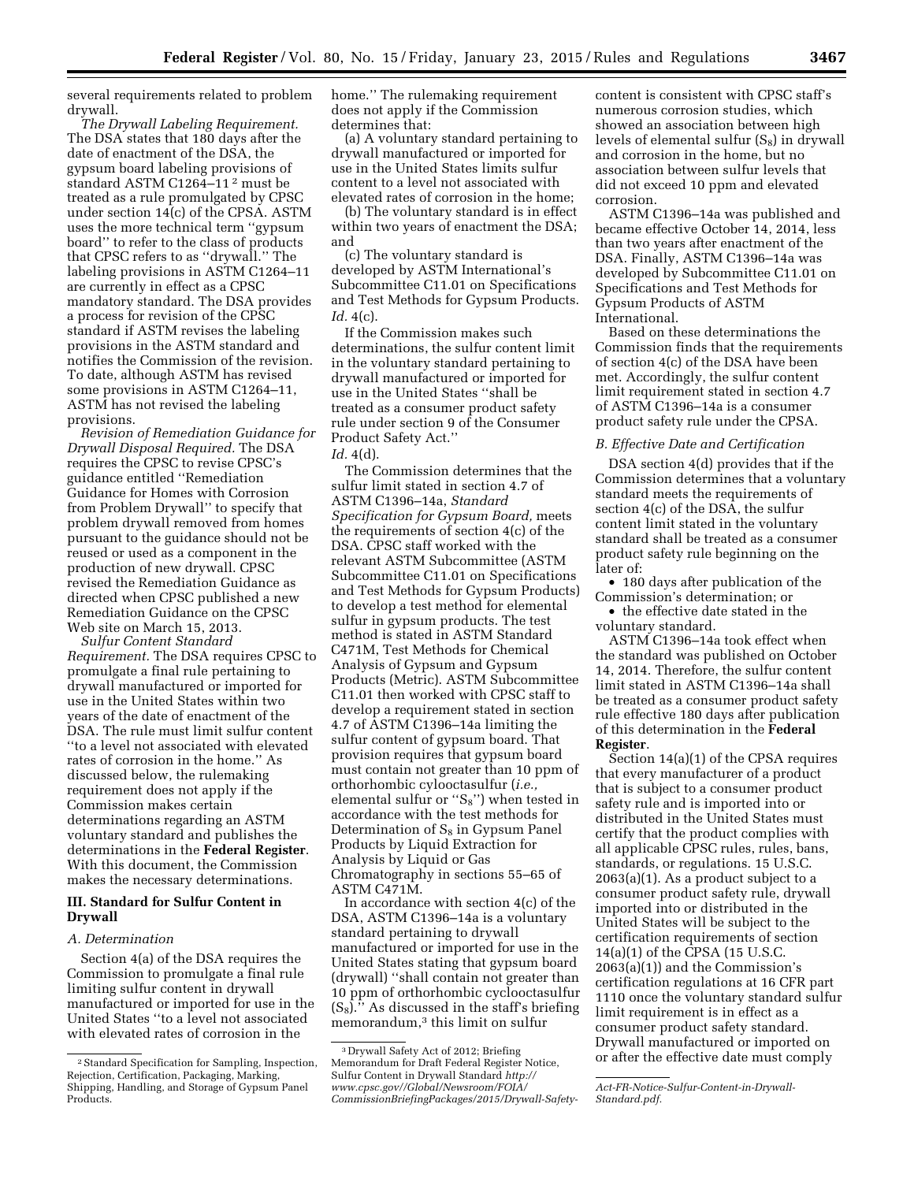several requirements related to problem drywall.

*The Drywall Labeling Requirement.*  The DSA states that 180 days after the date of enactment of the DSA, the gypsum board labeling provisions of standard ASTM C1264–11 2 must be treated as a rule promulgated by CPSC under section 14(c) of the CPSA. ASTM uses the more technical term ''gypsum board'' to refer to the class of products that CPSC refers to as ''drywall.'' The labeling provisions in ASTM C1264–11 are currently in effect as a CPSC mandatory standard. The DSA provides a process for revision of the CPSC standard if ASTM revises the labeling provisions in the ASTM standard and notifies the Commission of the revision. To date, although ASTM has revised some provisions in ASTM C1264–11, ASTM has not revised the labeling provisions.

*Revision of Remediation Guidance for Drywall Disposal Required.* The DSA requires the CPSC to revise CPSC's guidance entitled ''Remediation Guidance for Homes with Corrosion from Problem Drywall'' to specify that problem drywall removed from homes pursuant to the guidance should not be reused or used as a component in the production of new drywall. CPSC revised the Remediation Guidance as directed when CPSC published a new Remediation Guidance on the CPSC Web site on March 15, 2013.

*Sulfur Content Standard Requirement.* The DSA requires CPSC to promulgate a final rule pertaining to drywall manufactured or imported for use in the United States within two years of the date of enactment of the DSA. The rule must limit sulfur content ''to a level not associated with elevated rates of corrosion in the home.'' As discussed below, the rulemaking requirement does not apply if the Commission makes certain determinations regarding an ASTM voluntary standard and publishes the determinations in the **Federal Register**. With this document, the Commission makes the necessary determinations.

# **III. Standard for Sulfur Content in Drywall**

#### *A. Determination*

Section 4(a) of the DSA requires the Commission to promulgate a final rule limiting sulfur content in drywall manufactured or imported for use in the United States ''to a level not associated with elevated rates of corrosion in the

home.'' The rulemaking requirement does not apply if the Commission determines that:

(a) A voluntary standard pertaining to drywall manufactured or imported for use in the United States limits sulfur content to a level not associated with elevated rates of corrosion in the home;

(b) The voluntary standard is in effect within two years of enactment the DSA; and

(c) The voluntary standard is developed by ASTM International's Subcommittee C11.01 on Specifications and Test Methods for Gypsum Products. *Id.* 4(c).

If the Commission makes such determinations, the sulfur content limit in the voluntary standard pertaining to drywall manufactured or imported for use in the United States ''shall be treated as a consumer product safety rule under section 9 of the Consumer Product Safety Act.''

# *Id.* 4(d).

The Commission determines that the sulfur limit stated in section 4.7 of ASTM C1396–14a, *Standard Specification for Gypsum Board,* meets the requirements of section 4(c) of the DSA. CPSC staff worked with the relevant ASTM Subcommittee (ASTM Subcommittee C11.01 on Specifications and Test Methods for Gypsum Products) to develop a test method for elemental sulfur in gypsum products. The test method is stated in ASTM Standard C471M, Test Methods for Chemical Analysis of Gypsum and Gypsum Products (Metric). ASTM Subcommittee C11.01 then worked with CPSC staff to develop a requirement stated in section 4.7 of ASTM C1396–14a limiting the sulfur content of gypsum board. That provision requires that gypsum board must contain not greater than 10 ppm of orthorhombic cylooctasulfur (*i.e.,*  elemental sulfur or " $S_8$ ") when tested in accordance with the test methods for Determination of  $S_8$  in Gypsum Panel Products by Liquid Extraction for Analysis by Liquid or Gas Chromatography in sections 55–65 of ASTM C471M.

In accordance with section 4(c) of the DSA, ASTM C1396–14a is a voluntary standard pertaining to drywall manufactured or imported for use in the United States stating that gypsum board (drywall) ''shall contain not greater than 10 ppm of orthorhombic cyclooctasulfur  $(S_8)$ ." As discussed in the staff's briefing memorandum,3 this limit on sulfur

content is consistent with CPSC staff's numerous corrosion studies, which showed an association between high levels of elemental sulfur  $(S_8)$  in drywall and corrosion in the home, but no association between sulfur levels that did not exceed 10 ppm and elevated corrosion.

ASTM C1396–14a was published and became effective October 14, 2014, less than two years after enactment of the DSA. Finally, ASTM C1396–14a was developed by Subcommittee C11.01 on Specifications and Test Methods for Gypsum Products of ASTM International.

Based on these determinations the Commission finds that the requirements of section 4(c) of the DSA have been met. Accordingly, the sulfur content limit requirement stated in section 4.7 of ASTM C1396–14a is a consumer product safety rule under the CPSA.

## *B. Effective Date and Certification*

DSA section 4(d) provides that if the Commission determines that a voluntary standard meets the requirements of section 4(c) of the DSA, the sulfur content limit stated in the voluntary standard shall be treated as a consumer product safety rule beginning on the later of:

• 180 days after publication of the Commission's determination; or

• the effective date stated in the voluntary standard.

ASTM C1396–14a took effect when the standard was published on October 14, 2014. Therefore, the sulfur content limit stated in ASTM C1396–14a shall be treated as a consumer product safety rule effective 180 days after publication of this determination in the **Federal Register**.

Section 14(a)(1) of the CPSA requires that every manufacturer of a product that is subject to a consumer product safety rule and is imported into or distributed in the United States must certify that the product complies with all applicable CPSC rules, rules, bans, standards, or regulations. 15 U.S.C. 2063(a)(1). As a product subject to a consumer product safety rule, drywall imported into or distributed in the United States will be subject to the certification requirements of section 14(a)(1) of the CPSA (15 U.S.C. 2063(a)(1)) and the Commission's certification regulations at 16 CFR part 1110 once the voluntary standard sulfur limit requirement is in effect as a consumer product safety standard. Drywall manufactured or imported on or after the effective date must comply

<sup>2</sup>Standard Specification for Sampling, Inspection, Rejection, Certification, Packaging, Marking, Shipping, Handling, and Storage of Gypsum Panel Products.

<sup>3</sup> Drywall Safety Act of 2012; Briefing Memorandum for Draft Federal Register Notice, Sulfur Content in Drywall Standard *http:// www.cpsc.gov//Global/Newsroom/FOIA/ CommissionBriefingPackages/2015/Drywall-Safety-*

*Act-FR-Notice-Sulfur-Content-in-Drywall-Standard.pdf.*